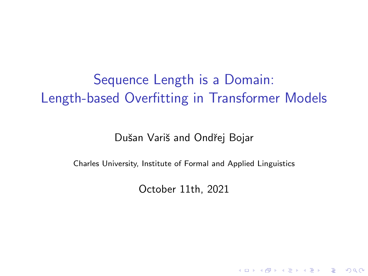# Sequence Length is a Domain: Length-based Overfitting in Transformer Models

Dušan Variš and Ondřej Bojar

Charles University, Institute of Formal and Applied Linguistics

October 11th, 2021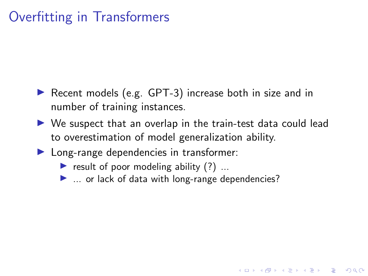# Overfitting in Transformers

- ▶ Recent models (e.g. GPT-3) increase both in size and in number of training instances.
- $\triangleright$  We suspect that an overlap in the train-test data could lead to overestimation of model generalization ability.

4 0 > 4 4 + 4 = + 4 = + = + + 0 4 0 +

- **In Long-range dependencies in transformer:** 
	- result of poor modeling ability  $(?)$  ...
	- $\blacktriangleright$  ... or lack of data with long-range dependencies?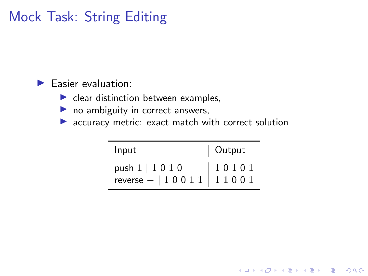# Mock Task: String Editing

#### $\blacktriangleright$  Easier evaluation:

- $\blacktriangleright$  clear distinction between examples,
- $\triangleright$  no ambiguity in correct answers,
- $\blacktriangleright$  accuracy metric: exact match with correct solution

| Input                                                                 | Output |  |
|-----------------------------------------------------------------------|--------|--|
| push $1 \mid 1 \; 0 \; 1 \; 0$<br>$reverse -   1 0 0 1 1   1 1 0 0 1$ | 10101  |  |

K ロ ▶ K 個 ▶ K 할 ▶ K 할 ▶ 이 할 → 9 Q Q →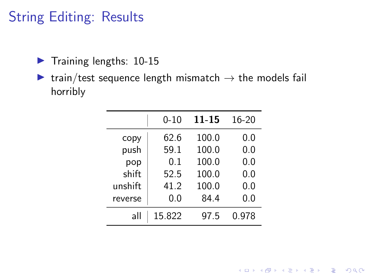# String Editing: Results

- $\blacktriangleright$  Training lengths: 10-15
- $\triangleright$  train/test sequence length mismatch  $\rightarrow$  the models fail horribly

|         | $0 - 10$ | 11-15 | 16-20 |
|---------|----------|-------|-------|
| copy    | 62.6     | 100.0 | 0.0   |
| push    | 59.1     | 100.0 | 0.0   |
| pop     | 0.1      | 100.0 | 0.0   |
| shift   | 52.5     | 100.0 | 0.0   |
| unshift | 41.2     | 100.0 | 0.0   |
| reverse | 0.0      | 84.4  | 0.0   |
| all     | 15.822   | 97.5  | 0.978 |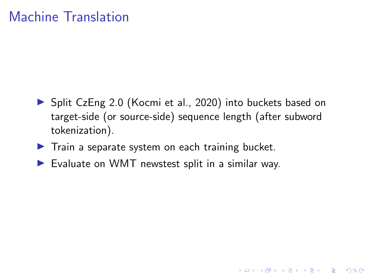### Machine Translation

▶ Split CzEng 2.0 (Kocmi et al., 2020) into buckets based on target-side (or source-side) sequence length (after subword tokenization).

K ロ ▶ K 個 ▶ K 할 ▶ K 할 ▶ 이 할 → 9 Q Q →

- $\blacktriangleright$  Train a separate system on each training bucket.
- $\blacktriangleright$  Evaluate on WMT newstest split in a similar way.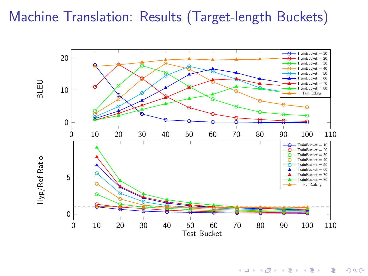# Machine Translation: Results (Target-length Buckets)



 $\left\{ \begin{array}{ccc} 1 & 0 & 0 \\ 0 & 1 & 0 \end{array} \right.$  $\equiv$  $299$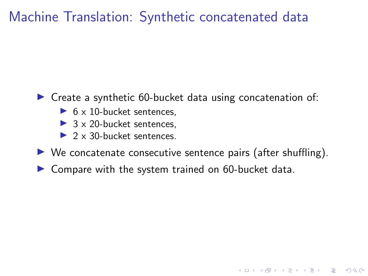### Machine Translation: Synthetic concatenated data

#### $\triangleright$  Create a synthetic 60-bucket data using concatenation of:

- $\triangleright$  6 x 10-bucket sentences.
- $\triangleright$  3 x 20-bucket sentences.
- $2 \times 30$ -bucket sentences.
- $\triangleright$  We concatenate consecutive sentence pairs (after shuffling).

**KORKARYKERKER POLO** 

 $\triangleright$  Compare with the system trained on 60-bucket data.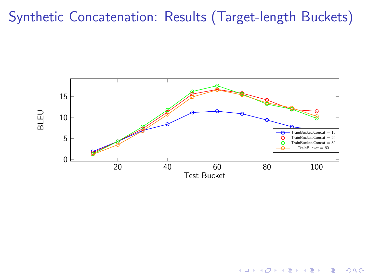# Synthetic Concatenation: Results (Target-length Buckets)



 $\left\{ \begin{array}{ccc} 1 & 0 & 0 \\ 0 & 1 & 0 \end{array} \right.$  $\equiv$  $2990$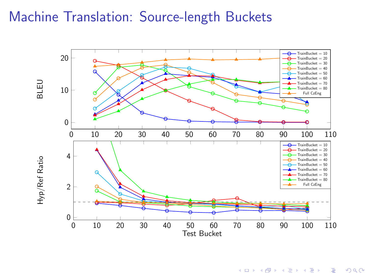### Machine Translation: Source-length Buckets



メロトメ 御 トメ 君 トメ 君 トッ 君  $299$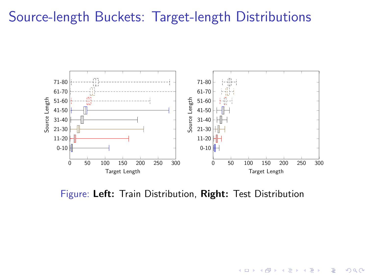#### Source-length Buckets: Target-length Distributions



Figure: Left: Train Distribution, Right: Test Distribution

 $\left\{ \begin{array}{ccc} 1 & 0 & 0 \\ 0 & 1 & 0 \\ 0 & 0 & 0 \\ 0 & 0 & 0 \\ 0 & 0 & 0 \\ 0 & 0 & 0 \\ 0 & 0 & 0 \\ 0 & 0 & 0 \\ 0 & 0 & 0 \\ 0 & 0 & 0 \\ 0 & 0 & 0 \\ 0 & 0 & 0 \\ 0 & 0 & 0 \\ 0 & 0 & 0 \\ 0 & 0 & 0 & 0 \\ 0 & 0 & 0 & 0 \\ 0 & 0 & 0 & 0 \\ 0 & 0 & 0 & 0 & 0 \\ 0 & 0 & 0 & 0 & 0 \\ 0 & 0 & 0 & 0 & 0 \\ 0$ 

 $\mathbb{R}^{n-1}$  $2990$